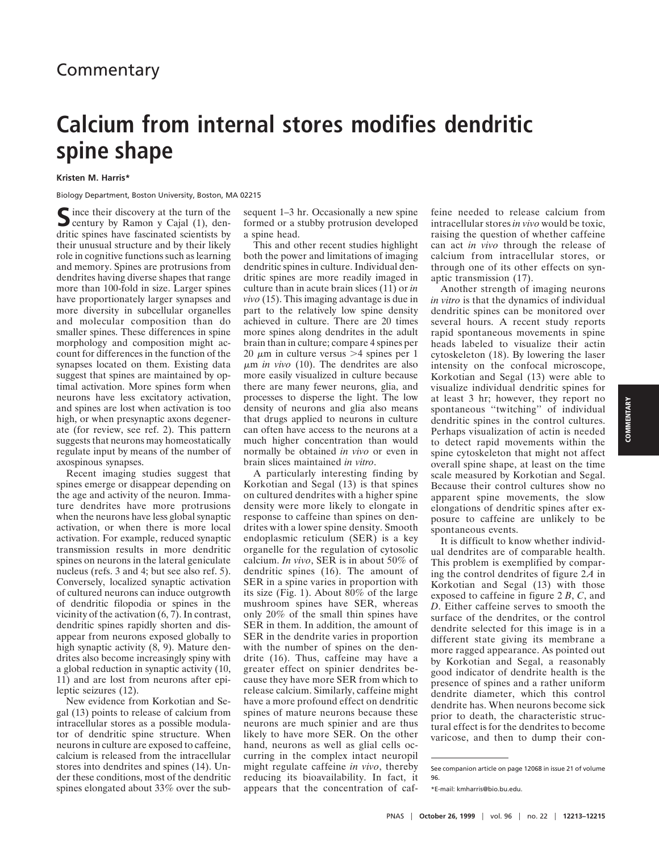## **Calcium from internal stores modifies dendritic spine shape**

**Kristen M. Harris\***

Biology Department, Boston University, Boston, MA 02215

Since their discovery at the turn of the<br>century by Ramon y Cajal (1), dendritic spines have fascinated scientists by their unusual structure and by their likely role in cognitive functions such as learning and memory. Spines are protrusions from dendrites having diverse shapes that range more than 100-fold in size. Larger spines have proportionately larger synapses and more diversity in subcellular organelles and molecular composition than do smaller spines. These differences in spine morphology and composition might account for differences in the function of the synapses located on them. Existing data suggest that spines are maintained by optimal activation. More spines form when neurons have less excitatory activation, and spines are lost when activation is too high, or when presynaptic axons degenerate (for review, see ref. 2). This pattern suggests that neurons may homeostatically regulate input by means of the number of axospinous synapses.

Recent imaging studies suggest that spines emerge or disappear depending on the age and activity of the neuron. Immature dendrites have more protrusions when the neurons have less global synaptic activation, or when there is more local activation. For example, reduced synaptic transmission results in more dendritic spines on neurons in the lateral geniculate nucleus (refs. 3 and 4; but see also ref. 5). Conversely, localized synaptic activation of cultured neurons can induce outgrowth of dendritic filopodia or spines in the vicinity of the activation (6, 7). In contrast, dendritic spines rapidly shorten and disappear from neurons exposed globally to high synaptic activity (8, 9). Mature dendrites also become increasingly spiny with a global reduction in synaptic activity (10, 11) and are lost from neurons after epileptic seizures (12).

New evidence from Korkotian and Segal (13) points to release of calcium from intracellular stores as a possible modulator of dendritic spine structure. When neurons in culture are exposed to caffeine, calcium is released from the intracellular stores into dendrites and spines (14). Under these conditions, most of the dendritic spines elongated about 33% over the subsequent 1–3 hr. Occasionally a new spine formed or a stubby protrusion developed a spine head.

This and other recent studies highlight both the power and limitations of imaging dendritic spines in culture. Individual dendritic spines are more readily imaged in culture than in acute brain slices (11) or *in vivo* (15). This imaging advantage is due in part to the relatively low spine density achieved in culture. There are 20 times more spines along dendrites in the adult brain than in culture; compare 4 spines per 20  $\mu$ m in culture versus > 4 spines per 1 <sup>m</sup>m *in vivo* (10). The dendrites are also more easily visualized in culture because there are many fewer neurons, glia, and processes to disperse the light. The low density of neurons and glia also means that drugs applied to neurons in culture can often have access to the neurons at a much higher concentration than would normally be obtained *in vivo* or even in brain slices maintained *in vitro*.

A particularly interesting finding by Korkotian and Segal (13) is that spines on cultured dendrites with a higher spine density were more likely to elongate in response to caffeine than spines on dendrites with a lower spine density. Smooth endoplasmic reticulum (SER) is a key organelle for the regulation of cytosolic calcium. *In vivo*, SER is in about 50% of dendritic spines (16). The amount of SER in a spine varies in proportion with its size (Fig. 1). About 80% of the large mushroom spines have SER, whereas only 20% of the small thin spines have SER in them. In addition, the amount of SER in the dendrite varies in proportion with the number of spines on the dendrite (16). Thus, caffeine may have a greater effect on spinier dendrites because they have more SER from which to release calcium. Similarly, caffeine might have a more profound effect on dendritic spines of mature neurons because these neurons are much spinier and are thus likely to have more SER. On the other hand, neurons as well as glial cells occurring in the complex intact neuropil might regulate caffeine *in vivo*, thereby reducing its bioavailability. In fact, it appears that the concentration of caffeine needed to release calcium from intracellular stores *in vivo* would be toxic, raising the question of whether caffeine can act *in vivo* through the release of calcium from intracellular stores, or through one of its other effects on synaptic transmission (17).

Another strength of imaging neurons *in vitro* is that the dynamics of individual dendritic spines can be monitored over several hours. A recent study reports rapid spontaneous movements in spine heads labeled to visualize their actin cytoskeleton (18). By lowering the laser intensity on the confocal microscope, Korkotian and Segal (13) were able to visualize individual dendritic spines for at least 3 hr; however, they report no spontaneous ''twitching'' of individual dendritic spines in the control cultures. Perhaps visualization of actin is needed to detect rapid movements within the spine cytoskeleton that might not affect overall spine shape, at least on the time scale measured by Korkotian and Segal. Because their control cultures show no apparent spine movements, the slow elongations of dendritic spines after exposure to caffeine are unlikely to be spontaneous events.

It is difficult to know whether individual dendrites are of comparable health. This problem is exemplified by comparing the control dendrites of figure 2*A* in Korkotian and Segal (13) with those exposed to caffeine in figure 2 *B*, *C*, and *D*. Either caffeine serves to smooth the surface of the dendrites, or the control dendrite selected for this image is in a different state giving its membrane a more ragged appearance. As pointed out by Korkotian and Segal, a reasonably good indicator of dendrite health is the presence of spines and a rather uniform dendrite diameter, which this control dendrite has. When neurons become sick prior to death, the characteristic structural effect is for the dendrites to become varicose, and then to dump their con-

See companion article on page 12068 in issue 21 of volume 96.

<sup>\*</sup>E-mail: kmharris@bio.bu.edu.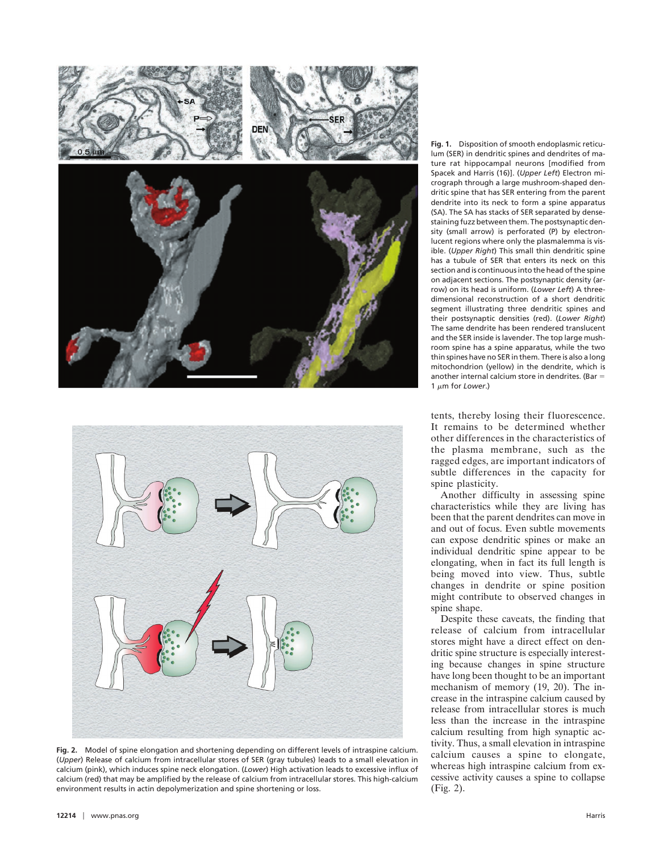



**Fig. 2.** Model of spine elongation and shortening depending on different levels of intraspine calcium. (*Upper*) Release of calcium from intracellular stores of SER (gray tubules) leads to a small elevation in calcium (pink), which induces spine neck elongation. (*Lower*) High activation leads to excessive influx of calcium (red) that may be amplified by the release of calcium from intracellular stores. This high-calcium environment results in actin depolymerization and spine shortening or loss.

**Fig. 1.** Disposition of smooth endoplasmic reticulum (SER) in dendritic spines and dendrites of mature rat hippocampal neurons [modified from Spacek and Harris (16)]. (*Upper Left*) Electron micrograph through a large mushroom-shaped dendritic spine that has SER entering from the parent dendrite into its neck to form a spine apparatus (SA). The SA has stacks of SER separated by densestaining fuzz between them. The postsynaptic density (small arrow) is perforated (P) by electronlucent regions where only the plasmalemma is visible. (*Upper Right*) This small thin dendritic spine has a tubule of SER that enters its neck on this section and is continuous into the head of the spine on adjacent sections. The postsynaptic density (arrow) on its head is uniform. (*Lower Left*) A threedimensional reconstruction of a short dendritic segment illustrating three dendritic spines and their postsynaptic densities (red). (*Lower Right*) The same dendrite has been rendered translucent and the SER inside is lavender. The top large mushroom spine has a spine apparatus, while the two thin spines have no SER in them. There is also a long mitochondrion (yellow) in the dendrite, which is another internal calcium store in dendrites. (Bar  $=$ 1 um for *Lower*.)

tents, thereby losing their fluorescence. It remains to be determined whether other differences in the characteristics of the plasma membrane, such as the ragged edges, are important indicators of subtle differences in the capacity for spine plasticity.

Another difficulty in assessing spine characteristics while they are living has been that the parent dendrites can move in and out of focus. Even subtle movements can expose dendritic spines or make an individual dendritic spine appear to be elongating, when in fact its full length is being moved into view. Thus, subtle changes in dendrite or spine position might contribute to observed changes in spine shape.

Despite these caveats, the finding that release of calcium from intracellular stores might have a direct effect on dendritic spine structure is especially interesting because changes in spine structure have long been thought to be an important mechanism of memory (19, 20). The increase in the intraspine calcium caused by release from intracellular stores is much less than the increase in the intraspine calcium resulting from high synaptic activity. Thus, a small elevation in intraspine calcium causes a spine to elongate, whereas high intraspine calcium from excessive activity causes a spine to collapse (Fig. 2).